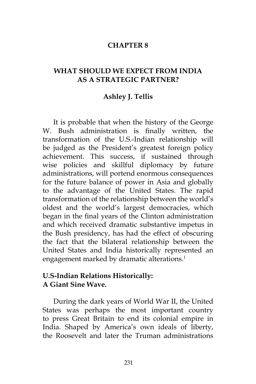#### **CHAPTER 8**

## **WHAT SHOULD WE EXPECT FROM INDIA AS A STRATEGIC PARTNER?**

#### **Ashley J. Tellis**

It is probable that when the history of the George W. Bush administration is finally written, the transformation of the U.S.-Indian relationship will be judged as the President's greatest foreign policy achievement. This success, if sustained through wise policies and skillful diplomacy by future administrations, will portend enormous consequences for the future balance of power in Asia and globally to the advantage of the United States. The rapid transformation of the relationship between the world's oldest and the world's largest democracies, which began in the final years of the Clinton administration and which received dramatic substantive impetus in the Bush presidency, has had the effect of obscuring the fact that the bilateral relationship between the United States and India historically represented an engagement marked by dramatic alterations.<sup>1</sup>

## **U.S-Indian Relations Historically: A Giant Sine Wave.**

During the dark years of World War II, the United States was perhaps the most important country to press Great Britain to end its colonial empire in India. Shaped by America's own ideals of liberty, the Roosevelt and later the Truman administrations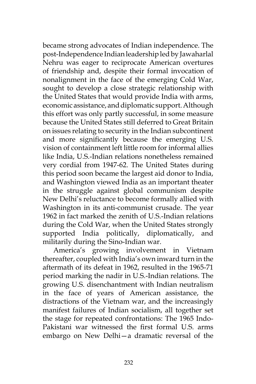became strong advocates of Indian independence. The post-Independence Indian leadership led by Jawaharlal Nehru was eager to reciprocate American overtures of friendship and, despite their formal invocation of nonalignment in the face of the emerging Cold War, sought to develop a close strategic relationship with the United States that would provide India with arms, economic assistance, and diplomatic support. Although this effort was only partly successful, in some measure because the United States still deferred to Great Britain on issues relating to security in the Indian subcontinent and more significantly because the emerging U.S. vision of containment left little room for informal allies like India, U.S.-Indian relations nonetheless remained very cordial from 1947-62. The United States during this period soon became the largest aid donor to India, and Washington viewed India as an important theater in the struggle against global communism despite New Delhi's reluctance to become formally allied with Washington in its anti-communist crusade. The year 1962 in fact marked the zenith of U.S.-Indian relations during the Cold War, when the United States strongly supported India politically, diplomatically, and militarily during the Sino-Indian war.

America's growing involvement in Vietnam thereafter, coupled with India's own inward turn in the aftermath of its defeat in 1962, resulted in the 1965-71 period marking the nadir in U.S.-Indian relations. The growing U.S. disenchantment with Indian neutralism in the face of years of American assistance, the distractions of the Vietnam war, and the increasingly manifest failures of Indian socialism, all together set the stage for repeated confrontations: The 1965 Indo-Pakistani war witnessed the first formal U.S. arms embargo on New Delhi—a dramatic reversal of the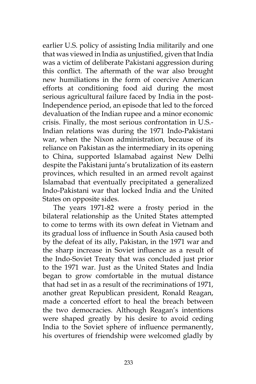earlier U.S. policy of assisting India militarily and one that was viewed in India as unjustified, given that India was a victim of deliberate Pakistani aggression during this conflict. The aftermath of the war also brought new humiliations in the form of coercive American efforts at conditioning food aid during the most serious agricultural failure faced by India in the post-Independence period, an episode that led to the forced devaluation of the Indian rupee and a minor economic crisis. Finally, the most serious confrontation in U.S.- Indian relations was during the 1971 Indo-Pakistani war, when the Nixon administration, because of its reliance on Pakistan as the intermediary in its opening to China, supported Islamabad against New Delhi despite the Pakistani junta's brutalization of its eastern provinces, which resulted in an armed revolt against Islamabad that eventually precipitated a generalized Indo-Pakistani war that locked India and the United States on opposite sides.

The years 1971-82 were a frosty period in the bilateral relationship as the United States attempted to come to terms with its own defeat in Vietnam and its gradual loss of influence in South Asia caused both by the defeat of its ally, Pakistan, in the 1971 war and the sharp increase in Soviet influence as a result of the Indo-Soviet Treaty that was concluded just prior to the 1971 war. Just as the United States and India began to grow comfortable in the mutual distance that had set in as a result of the recriminations of 1971, another great Republican president, Ronald Reagan, made a concerted effort to heal the breach between the two democracies. Although Reagan's intentions were shaped greatly by his desire to avoid ceding India to the Soviet sphere of influence permanently, his overtures of friendship were welcomed gladly by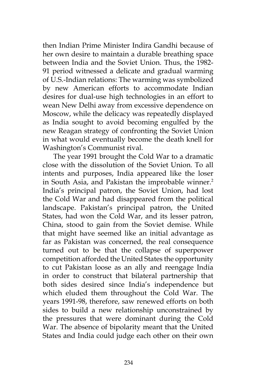then Indian Prime Minister Indira Gandhi because of her own desire to maintain a durable breathing space between India and the Soviet Union. Thus, the 1982- 91 period witnessed a delicate and gradual warming of U.S.-Indian relations: The warming was symbolized by new American efforts to accommodate Indian desires for dual-use high technologies in an effort to wean New Delhi away from excessive dependence on Moscow, while the delicacy was repeatedly displayed as India sought to avoid becoming engulfed by the new Reagan strategy of confronting the Soviet Union in what would eventually become the death knell for Washington's Communist rival.

The year 1991 brought the Cold War to a dramatic close with the dissolution of the Soviet Union. To all intents and purposes, India appeared like the loser in South Asia, and Pakistan the improbable winner.<sup>2</sup> India's principal patron, the Soviet Union, had lost the Cold War and had disappeared from the political landscape. Pakistan's principal patron, the United States, had won the Cold War, and its lesser patron, China, stood to gain from the Soviet demise. While that might have seemed like an initial advantage as far as Pakistan was concerned, the real consequence turned out to be that the collapse of superpower competition afforded the United States the opportunity to cut Pakistan loose as an ally and reengage India in order to construct that bilateral partnership that both sides desired since India's independence but which eluded them throughout the Cold War. The years 1991-98, therefore, saw renewed efforts on both sides to build a new relationship unconstrained by the pressures that were dominant during the Cold War. The absence of bipolarity meant that the United States and India could judge each other on their own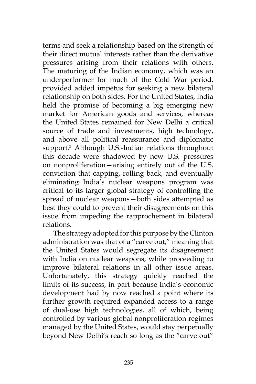terms and seek a relationship based on the strength of their direct mutual interests rather than the derivative pressures arising from their relations with others. The maturing of the Indian economy, which was an underperformer for much of the Cold War period, provided added impetus for seeking a new bilateral relationship on both sides. For the United States, India held the promise of becoming a big emerging new market for American goods and services, whereas the United States remained for New Delhi a critical source of trade and investments, high technology, and above all political reassurance and diplomatic support.3 Although U.S.-Indian relations throughout this decade were shadowed by new U.S. pressures on nonproliferation—arising entirely out of the U.S. conviction that capping, rolling back, and eventually eliminating India's nuclear weapons program was critical to its larger global strategy of controlling the spread of nuclear weapons—both sides attempted as best they could to prevent their disagreements on this issue from impeding the rapprochement in bilateral relations.

The strategy adopted for this purpose by the Clinton administration was that of a "carve out," meaning that the United States would segregate its disagreement with India on nuclear weapons, while proceeding to improve bilateral relations in all other issue areas. Unfortunately, this strategy quickly reached the limits of its success, in part because India's economic development had by now reached a point where its further growth required expanded access to a range of dual-use high technologies, all of which, being controlled by various global nonproliferation regimes managed by the United States, would stay perpetually beyond New Delhi's reach so long as the "carve out"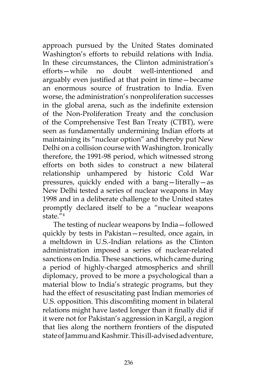approach pursued by the United States dominated Washington's efforts to rebuild relations with India. In these circumstances, the Clinton administration's efforts—while no doubt well-intentioned and arguably even justified at that point in time—became an enormous source of frustration to India. Even worse, the administration's nonproliferation successes in the global arena, such as the indefinite extension of the Non-Proliferation Treaty and the conclusion of the Comprehensive Test Ban Treaty (CTBT), were seen as fundamentally undermining Indian efforts at maintaining its "nuclear option" and thereby put New Delhi on a collision course with Washington. Ironically therefore, the 1991-98 period, which witnessed strong efforts on both sides to construct a new bilateral relationship unhampered by historic Cold War pressures, quickly ended with a bang—literally—as New Delhi tested a series of nuclear weapons in May 1998 and in a deliberate challenge to the United states promptly declared itself to be a "nuclear weapons state."4

The testing of nuclear weapons by India—followed quickly by tests in Pakistan—resulted, once again, in a meltdown in U.S.-Indian relations as the Clinton administration imposed a series of nuclear-related sanctions on India. These sanctions, which came during a period of highly-charged atmospherics and shrill diplomacy, proved to be more a psychological than a material blow to India's strategic programs, but they had the effect of resuscitating past Indian memories of U.S. opposition. This discomfiting moment in bilateral relations might have lasted longer than it finally did if it were not for Pakistan's aggression in Kargil, a region that lies along the northern frontiers of the disputed state of Jammu and Kashmir. This ill-advised adventure,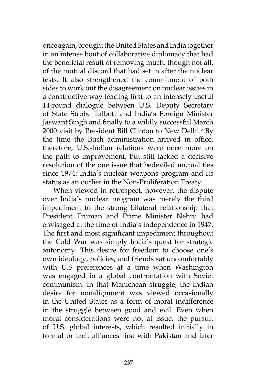once again, brought the United States and India together in an intense bout of collaborative diplomacy that had the beneficial result of removing much, though not all, of the mutual discord that had set in after the nuclear tests. It also strengthened the commitment of both sides to work out the disagreement on nuclear issues in a constructive way leading first to an intensely useful 14-round dialogue between U.S. Deputy Secretary of State Strobe Talbott and India's Foreign Minister Jaswant Singh and finally to a wildly successful March 2000 visit by President Bill Clinton to New Delhi.5 By the time the Bush administration arrived in office, therefore, U.S.-Indian relations were once more on the path to improvement, but still lacked a decisive resolution of the one issue that bedeviled mutual ties since 1974: India's nuclear weapons program and its status as an outlier in the Non-Proliferation Treaty.

When viewed in retrospect, however, the dispute over India's nuclear program was merely the third impediment to the strong bilateral relationship that President Truman and Prime Minister Nehru had envisaged at the time of India's independence in 1947. The first and most significant impediment throughout the Cold War was simply India's quest for strategic autonomy. This desire for freedom to choose one's own ideology, policies, and friends sat uncomfortably with U.S preferences at a time when Washington was engaged in a global confrontation with Soviet communism. In that Manichean struggle, the Indian desire for nonalignment was viewed occasionally in the United States as a form of moral indifference in the struggle between good and evil. Even when moral considerations were not at issue, the pursuit of U.S. global interests, which resulted initially in formal or tacit alliances first with Pakistan and later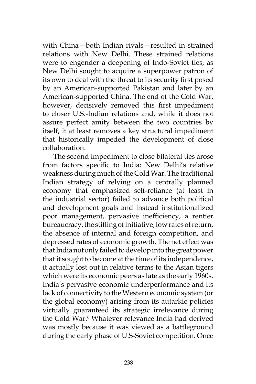with China—both Indian rivals—resulted in strained relations with New Delhi. These strained relations were to engender a deepening of Indo-Soviet ties, as New Delhi sought to acquire a superpower patron of its own to deal with the threat to its security first posed by an American-supported Pakistan and later by an American-supported China. The end of the Cold War, however, decisively removed this first impediment to closer U.S.-Indian relations and, while it does not assure perfect amity between the two countries by itself, it at least removes a key structural impediment that historically impeded the development of close collaboration.

The second impediment to close bilateral ties arose from factors specific to India: New Delhi's relative weakness during much of the Cold War. The traditional Indian strategy of relying on a centrally planned economy that emphasized self-reliance (at least in the industrial sector) failed to advance both political and development goals and instead institutionalized poor management, pervasive inefficiency, a rentier bureaucracy, the stifling of initiative, low rates of return, the absence of internal and foreign competition, and depressed rates of economic growth. The net effect was that India not only failed to develop into the great power that it sought to become at the time of its independence, it actually lost out in relative terms to the Asian tigers which were its economic peers as late as the early 1960s. India's pervasive economic underperformance and its lack of connectivity to the Western economic system (or the global economy) arising from its autarkic policies virtually guaranteed its strategic irrelevance during the Cold War.6 Whatever relevance India had derived was mostly because it was viewed as a battleground during the early phase of U.S-Soviet competition. Once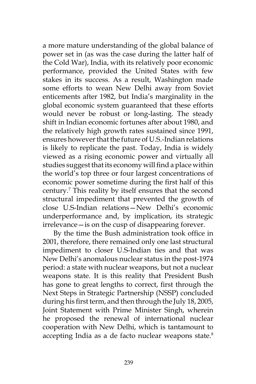a more mature understanding of the global balance of power set in (as was the case during the latter half of the Cold War), India, with its relatively poor economic performance, provided the United States with few stakes in its success. As a result, Washington made some efforts to wean New Delhi away from Soviet enticements after 1982, but India's marginality in the global economic system guaranteed that these efforts would never be robust or long-lasting. The steady shift in Indian economic fortunes after about 1980, and the relatively high growth rates sustained since 1991, ensures however that the future of U.S.-Indian relations is likely to replicate the past. Today, India is widely viewed as a rising economic power and virtually all studies suggest that its economy will find a place within the world's top three or four largest concentrations of economic power sometime during the first half of this century.7 This reality by itself ensures that the second structural impediment that prevented the growth of close U.S-Indian relations—New Delhi's economic underperformance and, by implication, its strategic irrelevance—is on the cusp of disappearing forever.

By the time the Bush administration took office in 2001, therefore, there remained only one last structural impediment to closer U.S-Indian ties and that was New Delhi's anomalous nuclear status in the post-1974 period: a state with nuclear weapons, but not a nuclear weapons state. It is this reality that President Bush has gone to great lengths to correct, first through the Next Steps in Strategic Partnership (NSSP) concluded during his first term, and then through the July 18, 2005, Joint Statement with Prime Minister Singh, wherein he proposed the renewal of international nuclear cooperation with New Delhi, which is tantamount to accepting India as a de facto nuclear weapons state.<sup>8</sup>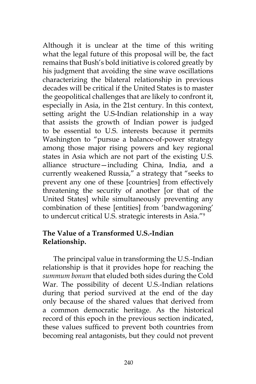Although it is unclear at the time of this writing what the legal future of this proposal will be, the fact remains that Bush's bold initiative is colored greatly by his judgment that avoiding the sine wave oscillations characterizing the bilateral relationship in previous decades will be critical if the United States is to master the geopolitical challenges that are likely to confront it, especially in Asia, in the 21st century. In this context, setting aright the U.S-Indian relationship in a way that assists the growth of Indian power is judged to be essential to U.S. interests because it permits Washington to "pursue a balance-of-power strategy among those major rising powers and key regional states in Asia which are not part of the existing U.S. alliance structure—including China, India, and a currently weakened Russia," a strategy that "seeks to prevent any one of these [countries] from effectively threatening the security of another [or that of the United States] while simultaneously preventing any combination of these [entities] from 'bandwagoning' to undercut critical U.S. strategic interests in Asia."9

# **The Value of a Transformed U.S.-Indian Relationship.**

The principal value in transforming the U.S.-Indian relationship is that it provides hope for reaching the *summum bonum* that eluded both sides during the Cold War. The possibility of decent U.S.-Indian relations during that period survived at the end of the day only because of the shared values that derived from a common democratic heritage. As the historical record of this epoch in the previous section indicated, these values sufficed to prevent both countries from becoming real antagonists, but they could not prevent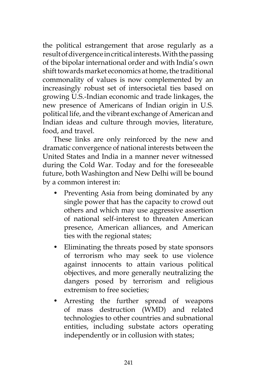the political estrangement that arose regularly as a result of divergence in critical interests. With the passing of the bipolar international order and with India's own shift towards market economics at home, the traditional commonality of values is now complemented by an increasingly robust set of intersocietal ties based on growing U.S.-Indian economic and trade linkages, the new presence of Americans of Indian origin in U.S. political life, and the vibrant exchange of American and Indian ideas and culture through movies, literature, food, and travel.

These links are only reinforced by the new and dramatic convergence of national interests between the United States and India in a manner never witnessed during the Cold War. Today and for the foreseeable future, both Washington and New Delhi will be bound by a common interest in:

- Preventing Asia from being dominated by any single power that has the capacity to crowd out others and which may use aggressive assertion of national self-interest to threaten American presence, American alliances, and American ties with the regional states;
- Eliminating the threats posed by state sponsors of terrorism who may seek to use violence against innocents to attain various political objectives, and more generally neutralizing the dangers posed by terrorism and religious extremism to free societies;
- Arresting the further spread of weapons of mass destruction (WMD) and related technologies to other countries and subnational entities, including substate actors operating independently or in collusion with states;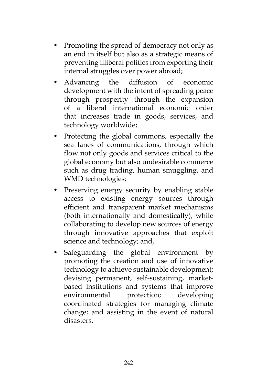- Promoting the spread of democracy not only as an end in itself but also as a strategic means of preventing illiberal polities from exporting their internal struggles over power abroad;
- Advancing the diffusion of economic development with the intent of spreading peace through prosperity through the expansion of a liberal international economic order that increases trade in goods, services, and technology worldwide;
- Protecting the global commons, especially the sea lanes of communications, through which flow not only goods and services critical to the global economy but also undesirable commerce such as drug trading, human smuggling, and WMD technologies;
- Preserving energy security by enabling stable access to existing energy sources through efficient and transparent market mechanisms (both internationally and domestically), while collaborating to develop new sources of energy through innovative approaches that exploit science and technology; and,
- Safeguarding the global environment by promoting the creation and use of innovative technology to achieve sustainable development; devising permanent, self-sustaining, marketbased institutions and systems that improve environmental protection; developing coordinated strategies for managing climate change; and assisting in the event of natural disasters.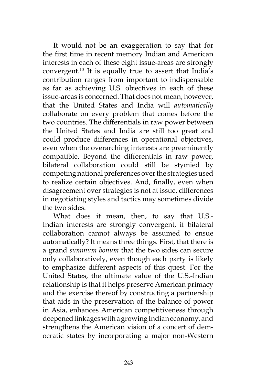It would not be an exaggeration to say that for the first time in recent memory Indian and American interests in each of these eight issue-areas are strongly convergent.10 It is equally true to assert that India's contribution ranges from important to indispensable as far as achieving U.S. objectives in each of these issue-areas is concerned. That does not mean, however, that the United States and India will *automatically* collaborate on every problem that comes before the two countries. The differentials in raw power between the United States and India are still too great and could produce differences in operational objectives, even when the overarching interests are preeminently compatible. Beyond the differentials in raw power, bilateral collaboration could still be stymied by competing national preferences over the strategies used to realize certain objectives. And, finally, even when disagreement over strategies is not at issue, differences in negotiating styles and tactics may sometimes divide the two sides.

What does it mean, then, to say that U.S.- Indian interests are strongly convergent, if bilateral collaboration cannot always be assumed to ensue automatically? It means three things. First, that there is a grand *summum bonum* that the two sides can secure only collaboratively, even though each party is likely to emphasize different aspects of this quest. For the United States, the ultimate value of the U.S.-Indian relationship is that it helps preserve American primacy and the exercise thereof by constructing a partnership that aids in the preservation of the balance of power in Asia, enhances American competitiveness through deepened linkages with a growing Indian economy, and strengthens the American vision of a concert of democratic states by incorporating a major non-Western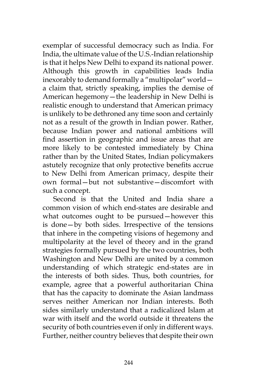exemplar of successful democracy such as India. For India, the ultimate value of the U.S.-Indian relationship is that it helps New Delhi to expand its national power. Although this growth in capabilities leads India inexorably to demand formally a "multipolar" world a claim that, strictly speaking, implies the demise of American hegemony—the leadership in New Delhi is realistic enough to understand that American primacy is unlikely to be dethroned any time soon and certainly not as a result of the growth in Indian power. Rather, because Indian power and national ambitions will find assertion in geographic and issue areas that are more likely to be contested immediately by China rather than by the United States, Indian policymakers astutely recognize that only protective benefits accrue to New Delhi from American primacy, despite their own formal—but not substantive—discomfort with such a concept.

Second is that the United and India share a common vision of which end-states are desirable and what outcomes ought to be pursued—however this is done—by both sides. Irrespective of the tensions that inhere in the competing visions of hegemony and multipolarity at the level of theory and in the grand strategies formally pursued by the two countries, both Washington and New Delhi are united by a common understanding of which strategic end-states are in the interests of both sides. Thus, both countries, for example, agree that a powerful authoritarian China that has the capacity to dominate the Asian landmass serves neither American nor Indian interests. Both sides similarly understand that a radicalized Islam at war with itself and the world outside it threatens the security of both countries even if only in different ways. Further, neither country believes that despite their own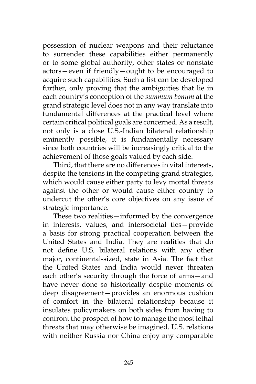possession of nuclear weapons and their reluctance to surrender these capabilities either permanently or to some global authority, other states or nonstate actors—even if friendly—ought to be encouraged to acquire such capabilities. Such a list can be developed further, only proving that the ambiguities that lie in each country's conception of the *summum bonum* at the grand strategic level does not in any way translate into fundamental differences at the practical level where certain critical political goals are concerned. As a result, not only is a close U.S.-Indian bilateral relationship eminently possible, it is fundamentally necessary since both countries will be increasingly critical to the achievement of those goals valued by each side.

Third, that there are no differences in vital interests, despite the tensions in the competing grand strategies, which would cause either party to levy mortal threats against the other or would cause either country to undercut the other's core objectives on any issue of strategic importance.

These two realities—informed by the convergence in interests, values, and intersocietal ties—provide a basis for strong practical cooperation between the United States and India. They are realities that do not define U.S. bilateral relations with any other major, continental-sized, state in Asia. The fact that the United States and India would never threaten each other's security through the force of arms—and have never done so historically despite moments of deep disagreement—provides an enormous cushion of comfort in the bilateral relationship because it insulates policymakers on both sides from having to confront the prospect of how to manage the most lethal threats that may otherwise be imagined. U.S. relations with neither Russia nor China enjoy any comparable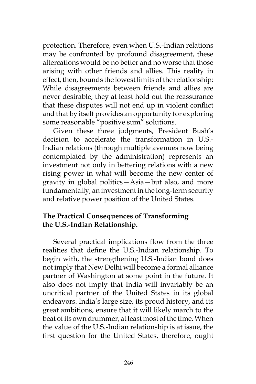protection. Therefore, even when U.S.-Indian relations may be confronted by profound disagreement, these altercations would be no better and no worse that those arising with other friends and allies. This reality in effect, then, bounds the lowest limits of the relationship: While disagreements between friends and allies are never desirable, they at least hold out the reassurance that these disputes will not end up in violent conflict and that by itself provides an opportunity for exploring some reasonable "positive sum" solutions.

Given these three judgments, President Bush's decision to accelerate the transformation in U.S.- Indian relations (through multiple avenues now being contemplated by the administration) represents an investment not only in bettering relations with a new rising power in what will become the new center of gravity in global politics—Asia—but also, and more fundamentally, an investment in the long-term security and relative power position of the United States.

# **The Practical Consequences of Transforming the U.S.-Indian Relationship.**

Several practical implications flow from the three realities that define the U.S.-Indian relationship. To begin with, the strengthening U.S.-Indian bond does not imply that New Delhi will become a formal alliance partner of Washington at some point in the future. It also does not imply that India will invariably be an uncritical partner of the United States in its global endeavors. India's large size, its proud history, and its great ambitions, ensure that it will likely march to the beat of its own drummer, at least most of the time. When the value of the U.S.-Indian relationship is at issue, the first question for the United States, therefore, ought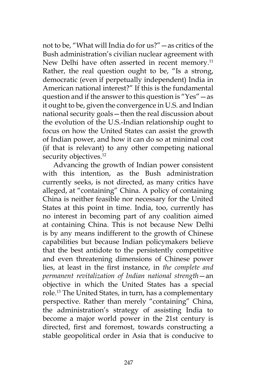not to be, "What will India do for us?"—as critics of the Bush administration's civilian nuclear agreement with New Delhi have often asserted in recent memory.<sup>11</sup> Rather, the real question ought to be, "Is a strong, democratic (even if perpetually independent) India in American national interest?" If this is the fundamental question and if the answer to this question is "Yes"—as it ought to be, given the convergence in U.S. and Indian national security goals—then the real discussion about the evolution of the U.S.-Indian relationship ought to focus on how the United States can assist the growth of Indian power, and how it can do so at minimal cost (if that is relevant) to any other competing national security objectives.<sup>12</sup>

Advancing the growth of Indian power consistent with this intention, as the Bush administration currently seeks, is not directed, as many critics have alleged, at "containing" China. A policy of containing China is neither feasible nor necessary for the United States at this point in time. India, too, currently has no interest in becoming part of any coalition aimed at containing China. This is not because New Delhi is by any means indifferent to the growth of Chinese capabilities but because Indian policymakers believe that the best antidote to the persistently competitive and even threatening dimensions of Chinese power lies, at least in the first instance, in *the complete and permanent revitalization of Indian national strength*—an objective in which the United States has a special role.13 The United States, in turn, has a complementary perspective. Rather than merely "containing" China, the administration's strategy of assisting India to become a major world power in the 21st century is directed, first and foremost, towards constructing a stable geopolitical order in Asia that is conducive to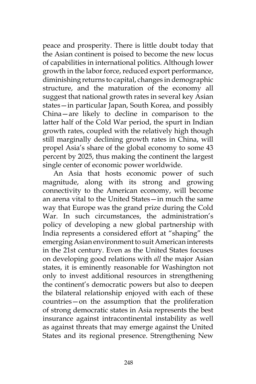peace and prosperity. There is little doubt today that the Asian continent is poised to become the new locus of capabilities in international politics. Although lower growth in the labor force, reduced export performance, diminishing returns to capital, changes in demographic structure, and the maturation of the economy all suggest that national growth rates in several key Asian states—in particular Japan, South Korea, and possibly China—are likely to decline in comparison to the latter half of the Cold War period, the spurt in Indian growth rates, coupled with the relatively high though still marginally declining growth rates in China, will propel Asia's share of the global economy to some 43 percent by 2025, thus making the continent the largest single center of economic power worldwide.

An Asia that hosts economic power of such magnitude, along with its strong and growing connectivity to the American economy, will become an arena vital to the United States—in much the same way that Europe was the grand prize during the Cold War. In such circumstances, the administration's policy of developing a new global partnership with India represents a considered effort at "shaping" the emerging Asian environment to suit American interests in the 21st century. Even as the United States focuses on developing good relations with *all* the major Asian states, it is eminently reasonable for Washington not only to invest additional resources in strengthening the continent's democratic powers but also to deepen the bilateral relationship enjoyed with each of these countries—on the assumption that the proliferation of strong democratic states in Asia represents the best insurance against intracontinental instability as well as against threats that may emerge against the United States and its regional presence. Strengthening New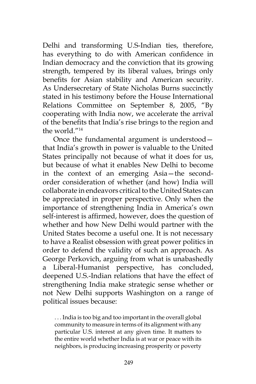Delhi and transforming U.S-Indian ties, therefore, has everything to do with American confidence in Indian democracy and the conviction that its growing strength, tempered by its liberal values, brings only benefits for Asian stability and American security. As Undersecretary of State Nicholas Burns succinctly stated in his testimony before the House International Relations Committee on September 8, 2005, "By cooperating with India now, we accelerate the arrival of the benefits that India's rise brings to the region and the world."14

Once the fundamental argument is understood that India's growth in power is valuable to the United States principally not because of what it does for us, but because of what it enables New Delhi to become in the context of an emerging Asia—the secondorder consideration of whether (and how) India will collaborate in endeavors critical to the United States can be appreciated in proper perspective. Only when the importance of strengthening India in America's own self-interest is affirmed, however, does the question of whether and how New Delhi would partner with the United States become a useful one. It is not necessary to have a Realist obsession with great power politics in order to defend the validity of such an approach. As George Perkovich, arguing from what is unabashedly a Liberal-Humanist perspective, has concluded, deepened U.S.-Indian relations that have the effect of strengthening India make strategic sense whether or not New Delhi supports Washington on a range of political issues because:

. . . India is too big and too important in the overall global community to measure in terms of its alignment with any particular U.S. interest at any given time. It matters to the entire world whether India is at war or peace with its neighbors, is producing increasing prosperity or poverty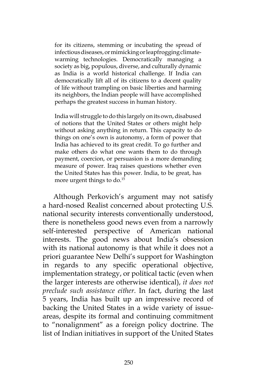for its citizens, stemming or incubating the spread of infectious diseases, or mimicking or leapfrogging climatewarming technologies. Democratically managing a society as big, populous, diverse, and culturally dynamic as India is a world historical challenge. If India can democratically lift all of its citizens to a decent quality of life without trampling on basic liberties and harming its neighbors, the Indian people will have accomplished perhaps the greatest success in human history.

India will struggle to do this largely on its own, disabused of notions that the United States or others might help without asking anything in return. This capacity to do things on one's own is autonomy, a form of power that India has achieved to its great credit. To go further and make others do what one wants them to do through payment, coercion, or persuasion is a more demanding measure of power. Iraq raises questions whether even the United States has this power. India, to be great, has more urgent things to do.15

Although Perkovich's argument may not satisfy a hard-nosed Realist concerned about protecting U.S. national security interests conventionally understood, there is nonetheless good news even from a narrowly self-interested perspective of American national interests. The good news about India's obsession with its national autonomy is that while it does not a priori guarantee New Delhi's support for Washington in regards to any specific operational objective, implementation strategy, or political tactic (even when the larger interests are otherwise identical), *it does not preclude such assistance either*. In fact, during the last 5 years, India has built up an impressive record of backing the United States in a wide variety of issueareas, despite its formal and continuing commitment to "nonalignment" as a foreign policy doctrine. The list of Indian initiatives in support of the United States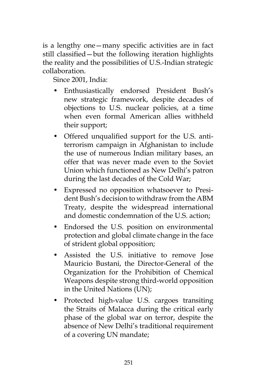is a lengthy one—many specific activities are in fact still classified—but the following iteration highlights the reality and the possibilities of U.S.-Indian strategic collaboration.

Since 2001, India:

- Enthusiastically endorsed President Bush's new strategic framework, despite decades of objections to U.S. nuclear policies, at a time when even formal American allies withheld their support;
- Offered unqualified support for the U.S. antiterrorism campaign in Afghanistan to include the use of numerous Indian military bases, an offer that was never made even to the Soviet Union which functioned as New Delhi's patron during the last decades of the Cold War;
- Expressed no opposition whatsoever to President Bush's decision to withdraw from the ABM Treaty, despite the widespread international and domestic condemnation of the U.S. action;
- Endorsed the U.S. position on environmental protection and global climate change in the face of strident global opposition;
- Assisted the U.S. initiative to remove Jose Mauricio Bustani, the Director-General of the Organization for the Prohibition of Chemical Weapons despite strong third-world opposition in the United Nations (UN);
- Protected high-value U.S. cargoes transiting the Straits of Malacca during the critical early phase of the global war on terror, despite the absence of New Delhi's traditional requirement of a covering UN mandate;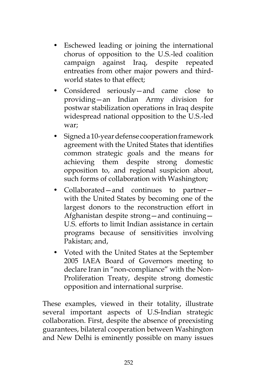- Eschewed leading or joining the international chorus of opposition to the U.S.-led coalition campaign against Iraq, despite repeated entreaties from other major powers and thirdworld states to that effect;
- Considered seriously—and came close to providing—an Indian Army division for postwar stabilization operations in Iraq despite widespread national opposition to the U.S.-led war;
- Signed a 10-year defense cooperation framework agreement with the United States that identifies common strategic goals and the means for achieving them despite strong domestic opposition to, and regional suspicion about, such forms of collaboration with Washington;
- Collaborated—and continues to partner with the United States by becoming one of the largest donors to the reconstruction effort in Afghanistan despite strong—and continuing— U.S. efforts to limit Indian assistance in certain programs because of sensitivities involving Pakistan; and,
- Voted with the United States at the September 2005 IAEA Board of Governors meeting to declare Iran in "non-compliance" with the Non-Proliferation Treaty, despite strong domestic opposition and international surprise.

These examples, viewed in their totality, illustrate several important aspects of U.S-Indian strategic collaboration. First, despite the absence of preexisting guarantees, bilateral cooperation between Washington and New Delhi is eminently possible on many issues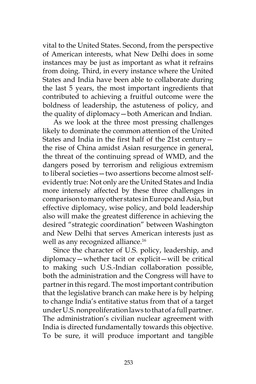vital to the United States. Second, from the perspective of American interests, what New Delhi does in some instances may be just as important as what it refrains from doing. Third, in every instance where the United States and India have been able to collaborate during the last 5 years, the most important ingredients that contributed to achieving a fruitful outcome were the boldness of leadership, the astuteness of policy, and the quality of diplomacy—both American and Indian.

As we look at the three most pressing challenges likely to dominate the common attention of the United States and India in the first half of the 21st century the rise of China amidst Asian resurgence in general, the threat of the continuing spread of WMD, and the dangers posed by terrorism and religious extremism to liberal societies—two assertions become almost selfevidently true: Not only are the United States and India more intensely affected by these three challenges in comparison to many other states in Europe and Asia, but effective diplomacy, wise policy, and bold leadership also will make the greatest difference in achieving the desired "strategic coordination" between Washington and New Delhi that serves American interests just as well as any recognized alliance.<sup>16</sup>

Since the character of U.S. policy, leadership, and diplomacy—whether tacit or explicit—will be critical to making such U.S.-Indian collaboration possible, both the administration and the Congress will have to partner in this regard. The most important contribution that the legislative branch can make here is by helping to change India's entitative status from that of a target under U.S. nonproliferation laws to that of a full partner. The administration's civilian nuclear agreement with India is directed fundamentally towards this objective. To be sure, it will produce important and tangible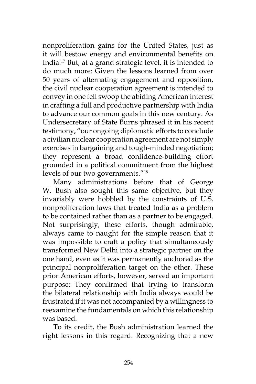nonproliferation gains for the United States, just as it will bestow energy and environmental benefits on India.17 But, at a grand strategic level, it is intended to do much more: Given the lessons learned from over 50 years of alternating engagement and opposition, the civil nuclear cooperation agreement is intended to convey in one fell swoop the abiding American interest in crafting a full and productive partnership with India to advance our common goals in this new century. As Undersecretary of State Burns phrased it in his recent testimony, "our ongoing diplomatic efforts to conclude a civilian nuclear cooperation agreement are not simply exercises in bargaining and tough-minded negotiation; they represent a broad confidence-building effort grounded in a political commitment from the highest levels of our two governments."18

Many administrations before that of George W. Bush also sought this same objective, but they invariably were hobbled by the constraints of U.S. nonproliferation laws that treated India as a problem to be contained rather than as a partner to be engaged. Not surprisingly, these efforts, though admirable, always came to naught for the simple reason that it was impossible to craft a policy that simultaneously transformed New Delhi into a strategic partner on the one hand, even as it was permanently anchored as the principal nonproliferation target on the other. These prior American efforts, however, served an important purpose: They confirmed that trying to transform the bilateral relationship with India always would be frustrated if it was not accompanied by a willingness to reexamine the fundamentals on which this relationship was based.

To its credit, the Bush administration learned the right lessons in this regard. Recognizing that a new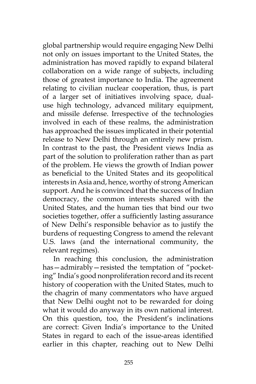global partnership would require engaging New Delhi not only on issues important to the United States, the administration has moved rapidly to expand bilateral collaboration on a wide range of subjects, including those of greatest importance to India. The agreement relating to civilian nuclear cooperation, thus, is part of a larger set of initiatives involving space, dualuse high technology, advanced military equipment, and missile defense. Irrespective of the technologies involved in each of these realms, the administration has approached the issues implicated in their potential release to New Delhi through an entirely new prism. In contrast to the past, the President views India as part of the solution to proliferation rather than as part of the problem. He views the growth of Indian power as beneficial to the United States and its geopolitical interests in Asia and, hence, worthy of strong American support. And he is convinced that the success of Indian democracy, the common interests shared with the United States, and the human ties that bind our two societies together, offer a sufficiently lasting assurance of New Delhi's responsible behavior as to justify the burdens of requesting Congress to amend the relevant U.S. laws (and the international community, the relevant regimes).

In reaching this conclusion, the administration has—admirably—resisted the temptation of "pocketing" India's good nonproliferation record and its recent history of cooperation with the United States, much to the chagrin of many commentators who have argued that New Delhi ought not to be rewarded for doing what it would do anyway in its own national interest. On this question, too, the President's inclinations are correct: Given India's importance to the United States in regard to each of the issue-areas identified earlier in this chapter, reaching out to New Delhi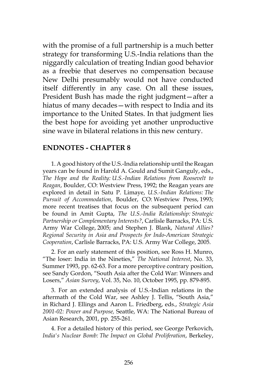with the promise of a full partnership is a much better strategy for transforming U.S.-India relations than the niggardly calculation of treating Indian good behavior as a freebie that deserves no compensation because New Delhi presumably would not have conducted itself differently in any case. On all these issues, President Bush has made the right judgment—after a hiatus of many decades—with respect to India and its importance to the United States. In that judgment lies the best hope for avoiding yet another unproductive sine wave in bilateral relations in this new century.

#### **ENDNOTES - CHAPTER 8**

1. A good history of the U.S.-India relationship until the Reagan years can be found in Harold A. Gould and Sumit Ganguly, eds., *The Hope and the Reality: U.S.-Indian Relations from Roosevelt to Reagan*, Boulder, CO: Westview Press, 1992; the Reagan years are explored in detail in Satu P. Limaye, *U.S.-Indian Relations: The Pursuit of Accommodation*, Boulder, CO: Westview Press, 1993; more recent treatises that focus on the subsequent period can be found in Amit Gupta, *The U.S.-India Relationship: Strategic Partnership or Complementary Interests?*, Carlisle Barracks, PA: U.S. Army War College, 2005; and Stephen J. Blank, *Natural Allies? Regional Security in Asia and Prospects for Indo-American Strategic Cooperation*, Carlisle Barracks, PA: U.S. Army War College, 2005.

2. For an early statement of this position, see Ross H. Munro, "The loser: India in the Nineties," *The National Interest*, No. 33, Summer 1993, pp. 62-63. For a more perceptive contrary position, see Sandy Gordon, "South Asia after the Cold War: Winners and Losers," *Asian Survey*, Vol. 35, No. 10, October 1995, pp. 879-895.

3. For an extended analysis of U.S.-Indian relations in the aftermath of the Cold War, see Ashley J. Tellis, "South Asia," in Richard J. Ellings and Aaron L. Friedberg, eds., *Strategic Asia 2001-02: Power and Purpose,* Seattle, WA: The National Bureau of Asian Research, 2001, pp. 255-261.

4. For a detailed history of this period, see George Perkovich, *India's Nuclear Bomb: The Impact on Global Proliferation*, Berkeley,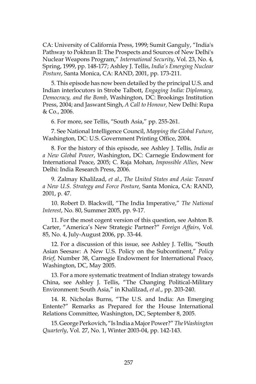CA: University of California Press, 1999; Sumit Ganguly, "India's Pathway to Pokhran II: The Prospects and Sources of New Delhi's Nuclear Weapons Program," *International Security*, Vol. 23, No. 4, Spring, 1999, pp. 148-177; Ashley J. Tellis, *India's Emerging Nuclear Posture*, Santa Monica, CA: RAND, 2001, pp. 173-211.

5. This episode has now been detailed by the principal U.S. and Indian interlocutors in Strobe Talbott, *Engaging India: Diplomacy, Democracy, and the Bomb*, Washington, DC: Brookings Institution Press, 2004; and Jaswant Singh, *A Call to Honour,* New Delhi: Rupa & Co., 2006.

6. For more, see Tellis, "South Asia," pp. 255-261.

7. See National Intelligence Council, *Mapping the Global Future*, Washington, DC: U.S. Government Printing Office, 2004.

8. For the history of this episode, see Ashley J. Tellis, *India as a New Global Power*, Washington, DC: Carnegie Endowment for International Peace, 2005; C. Raja Mohan, *Impossible Allies*, New Delhi: India Research Press, 2006.

9. Zalmay Khalilzad, *et al.*, *The United States and Asia: Toward a New U.S. Strategy and Force Posture,* Santa Monica, CA: RAND, 2001, p. 47.

10. Robert D. Blackwill, "The India Imperative," *The National Interest*, No. 80, Summer 2005, pp. 9-17.

11. For the most cogent version of this question, see Ashton B. Carter, "America's New Strategic Partner?" *Foreign Affairs*, Vol. 85, No. 4, July-August 2006, pp. 33-44.

12. For a discussion of this issue, see Ashley J. Tellis, "South Asian Seesaw: A New U.S. Policy on the Subcontinent," *Policy Brief*, Number 38, Carnegie Endowment for International Peace, Washington, DC, May 2005.

13. For a more systematic treatment of Indian strategy towards China, see Ashley J. Tellis, "The Changing Political-Military Environment: South Asia," in Khalilzad, *et al*., pp. 203-240.

14. R. Nicholas Burns, "The U.S. and India: An Emerging Entente?" Remarks as Prepared for the House International Relations Committee, Washington, DC, September 8, 2005.

15. George Perkovich, "Is India a Major Power?" *The Washington Quarterly*, Vol. 27, No. 1, Winter 2003-04, pp. 142-143.